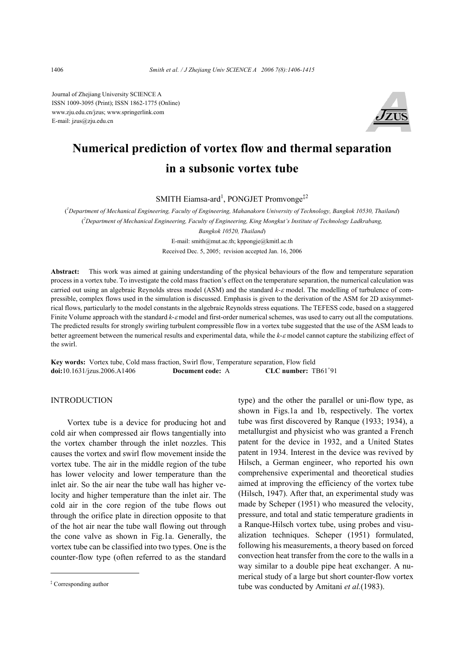Journal of Zhejiang University SCIENCE A ISSN 1009-3095 (Print); ISSN 1862-1775 (Online) www.zju.edu.cn/jzus; www.springerlink.com E-mail: jzus@zju.edu.cn



# **Numerical prediction of vortex flow and thermal separation in a subsonic vortex tube**

SMITH Eiamsa-ard<sup>1</sup>, PONGJET Promvonge<sup>‡2</sup>

( *1 Department of Mechanical Engineering, Faculty of Engineering, Mahanakorn University of Technology, Bangkok 10530, Thailand*) ( *2 Department of Mechanical Engineering, Faculty of Engineering, King Mongkut's Institute of Technology Ladkrabang, Bangkok 10520, Thailand*) E-mail: smith@mut.ac.th; kppongje@kmitl.ac.th Received Dec. 5, 2005; revision accepted Jan. 16, 2006

**Abstract:** This work was aimed at gaining understanding of the physical behaviours of the flow and temperature separation process in a vortex tube. To investigate the cold mass fraction's effect on the temperature separation, the numerical calculation was carried out using an algebraic Reynolds stress model (ASM) and the standard *k*-<sup>ε</sup> model. The modelling of turbulence of compressible, complex flows used in the simulation is discussed. Emphasis is given to the derivation of the ASM for 2D axisymmetrical flows, particularly to the model constants in the algebraic Reynolds stress equations. The TEFESS code, based on a staggered Finite Volume approach with the standard *k-ε* model and first-order numerical schemes, was used to carry out all the computations. The predicted results for strongly swirling turbulent compressible flow in a vortex tube suggested that the use of the ASM leads to better agreement between the numerical results and experimental data, while the *k*-*ε* model cannot capture the stabilizing effect of the swirl.

**Key words:** Vortex tube, Cold mass fraction, Swirl flow, Temperature separation, Flow field **doi:**10.1631/jzus.2006.A1406 **Document code:** A CLC number: TB61+91

# INTRODUCTION

Vortex tube is a device for producing hot and cold air when compressed air flows tangentially into the vortex chamber through the inlet nozzles. This causes the vortex and swirl flow movement inside the vortex tube. The air in the middle region of the tube has lower velocity and lower temperature than the inlet air. So the air near the tube wall has higher velocity and higher temperature than the inlet air. The cold air in the core region of the tube flows out through the orifice plate in direction opposite to that of the hot air near the tube wall flowing out through the cone valve as shown in Fig.1a. Generally, the vortex tube can be classified into two types. One is the counter-flow type (often referred to as the standard

type) and the other the parallel or uni-flow type, as shown in Figs.1a and 1b, respectively. The vortex tube was first discovered by Ranque (1933; 1934), a metallurgist and physicist who was granted a French patent for the device in 1932, and a United States patent in 1934. Interest in the device was revived by Hilsch, a German engineer, who reported his own comprehensive experimental and theoretical studies aimed at improving the efficiency of the vortex tube (Hilsch, 1947). After that, an experimental study was made by Scheper (1951) who measured the velocity, pressure, and total and static temperature gradients in a Ranque-Hilsch vortex tube, using probes and visualization techniques. Scheper (1951) formulated, following his measurements, a theory based on forced convection heat transfer from the core to the walls in a way similar to a double pipe heat exchanger. A numerical study of a large but short counter-flow vortex tube was conducted by Amitani et al.(1983).

Corresponding author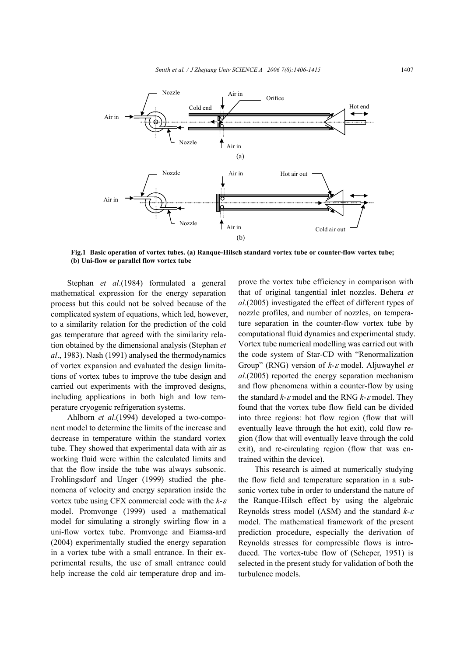

**Fig.1 Basic operation of vortex tubes. (a) Ranque-Hilsch standard vortex tube or counter-flow vortex tube; (b) Uni-flow or parallel flow vortex tube**

Stephan *et al*.(1984) formulated a general mathematical expression for the energy separation process but this could not be solved because of the complicated system of equations, which led, however, to a similarity relation for the prediction of the cold gas temperature that agreed with the similarity relation obtained by the dimensional analysis (Stephan *et al*., 1983). Nash (1991) analysed the thermodynamics of vortex expansion and evaluated the design limitations of vortex tubes to improve the tube design and carried out experiments with the improved designs, including applications in both high and low temperature cryogenic refrigeration systems.

Ahlborn *et al*.(1994) developed a two-component model to determine the limits of the increase and decrease in temperature within the standard vortex tube. They showed that experimental data with air as working fluid were within the calculated limits and that the flow inside the tube was always subsonic. Frohlingsdorf and Unger (1999) studied the phenomena of velocity and energy separation inside the vortex tube using CFX commercial code with the *k*-<sup>ε</sup> model. Promvonge (1999) used a mathematical model for simulating a strongly swirling flow in a uni-flow vortex tube. Promvonge and Eiamsa-ard (2004) experimentally studied the energy separation in a vortex tube with a small entrance. In their experimental results, the use of small entrance could help increase the cold air temperature drop and improve the vortex tube efficiency in comparison with that of original tangential inlet nozzles. Behera *et al*.(2005) investigated the effect of different types of nozzle profiles, and number of nozzles, on temperature separation in the counter-flow vortex tube by computational fluid dynamics and experimental study. Vortex tube numerical modelling was carried out with the code system of Star-CD with "Renormalization Group" (RNG) version of *k*-ε model. Aljuwayhel *et al*.(2005) reported the energy separation mechanism and flow phenomena within a counter-flow by using the standard *k*-ε model and the RNG *k*-ε model. They found that the vortex tube flow field can be divided into three regions: hot flow region (flow that will eventually leave through the hot exit), cold flow region (flow that will eventually leave through the cold exit), and re-circulating region (flow that was entrained within the device).

This research is aimed at numerically studying the flow field and temperature separation in a subsonic vortex tube in order to understand the nature of the Ranque-Hilsch effect by using the algebraic Reynolds stress model (ASM) and the standard *k*-<sup>ε</sup> model. The mathematical framework of the present prediction procedure, especially the derivation of Reynolds stresses for compressible flows is introduced. The vortex-tube flow of (Scheper, 1951) is selected in the present study for validation of both the turbulence models.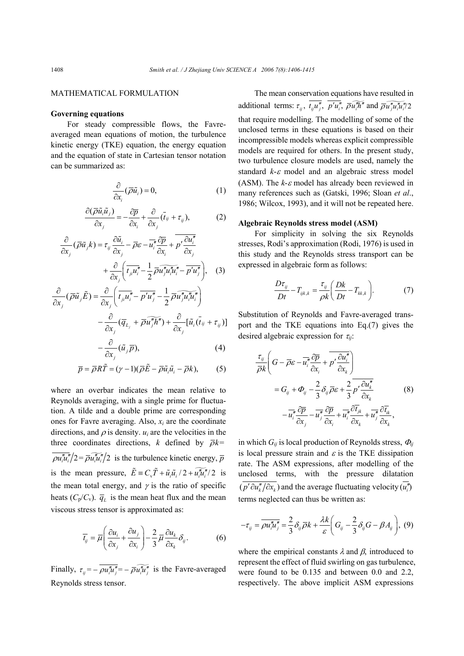# MATHEMATICAL FORMULATION

# **Governing equations**

For steady compressible flows, the Favreaveraged mean equations of motion, the turbulence kinetic energy (TKE) equation, the energy equation and the equation of state in Cartesian tensor notation can be summarized as:

$$
\frac{\partial}{\partial x_i}(\overline{\rho}\tilde{u}_i) = 0, \tag{1}
$$

$$
\frac{\partial(\overline{\rho}\tilde{u}_i\tilde{u}_j)}{\partial x_j} = -\frac{\partial \overline{p}}{\partial x_i} + \frac{\partial}{\partial x_j}(\bar{t}_{ij} + \tau_{ij}),\tag{2}
$$

$$
\frac{\partial}{\partial x_j}(\overline{\rho}\tilde{u}_jk) = \tau_{ij}\frac{\partial \tilde{u}_i}{\partial x_j} - \overline{\rho}\varepsilon - \overline{u_i''}\frac{\partial \overline{p}}{\partial x_i} + \overline{p'}\frac{\partial u_i''}{\partial x_j} + \frac{\partial}{\partial x_j}\left(\overline{t_{ji}u_i''} - \frac{1}{2}\overline{\rho}\overline{u_j''}u_i''u_i'' - \overline{p'u_j''}\right), \quad (3)
$$

$$
\frac{\partial}{\partial x_j}(\overline{\rho}\tilde{u}_j\tilde{E}) = \frac{\partial}{\partial x_j} \left( \overline{t_{ji}u_i'' - \overline{p'u_j''} - \frac{1}{2} \overline{\rho} \overline{u_j''u_i''u_i''}} \right) - \frac{\partial}{\partial x_j} (\overline{q}_{L_j} + \overline{\rho} \overline{u_j''h''}) + \frac{\partial}{\partial x_j} [\tilde{u}_i(\overline{t}_{ij} + \tau_{ij})]
$$

$$
-\frac{\partial}{\partial x_j}(\tilde{u}_j \overline{p}),\tag{4}
$$

$$
\overline{p} = \overline{\rho}R\tilde{T} = (\gamma - 1)(\overline{\rho}\tilde{E} - \overline{\rho}\tilde{u}_i\tilde{u}_i - \overline{\rho}k),
$$
 (5)

where an overbar indicates the mean relative to Reynolds averaging, with a single prime for fluctuation. A tilde and a double prime are corresponding ones for Favre averaging. Also, *xi* are the coordinate directions, and  $\rho$  is density.  $u_i$  are the velocities in the three coordinates directions, *k* defined by  $\overline{\rho}k=$  $\overline{\rho u''_i u''_i}/2 = \overline{\rho u''_i u''_i}/2$  is the turbulence kinetic energy,  $\overline{p}$ is the mean pressure,  $\tilde{E} = C_v \tilde{T} + \tilde{u}_i \tilde{u}_i / 2 + \tilde{u''_i} / 2$  is the mean total energy, and  $\gamma$  is the ratio of specific heats  $(C_p/C_v)$ .  $\overline{q}_L$  is the mean heat flux and the mean viscous stress tensor is approximated as:

$$
\overline{t}_{ij} = \overline{\mu} \left( \frac{\partial u_i}{\partial x_j} + \frac{\partial u_j}{\partial x_i} \right) - \frac{2}{3} \overline{\mu} \frac{\partial u_k}{\partial x_k} \delta_{ij}.
$$
 (6)

Finally,  $\tau_{ij} = -\overline{\rho u_i'' u_j''} = -\overline{\rho u_i'' u_j''}$  is the Favre-averaged Reynolds stress tensor.

The mean conservation equations have resulted in additional terms:  $\tau_{ii}$ ,  $\overline{t_{ii}u''_i}$ ,  $\overline{p'u''_i}$ ,  $\overline{\rho u''_i}\overline{u''_i}$  and  $\overline{\rho u''_i}\overline{u''_i}u''_i/2$ that require modelling. The modelling of some of the unclosed terms in these equations is based on their incompressible models whereas explicit compressible models are required for others. In the present study, two turbulence closure models are used, namely the standard *k*-<sup>ε</sup> model and an algebraic stress model (ASM). The  $k$ - $\varepsilon$  model has already been reviewed in many references such as (Gatski, 1996; Sloan *et al*., 1986; Wilcox, 1993), and it will not be repeated here.

# **Algebraic Reynolds stress model (ASM)**

For simplicity in solving the six Reynolds stresses, Rodi's approximation (Rodi, 1976) is used in this study and the Reynolds stress transport can be expressed in algebraic form as follows:

$$
\frac{D\tau_{ij}}{Dt} - T_{ijk,k} = \frac{\tau_{ij}}{\rho k} \left( \frac{Dk}{Dt} - T_{kk,k} \right). \tag{7}
$$

Substitution of Reynolds and Favre-averaged transport and the TKE equations into Eq.(7) gives the desired algebraic expression for <sup>τ</sup>*ij*:

$$
\frac{\tau_{ij}}{\overline{\rho}k} \left( G - \overline{\rho} \varepsilon - \overline{u_i''} \frac{\partial \overline{p}}{\partial x_i} + \overline{p'} \frac{\partial u_i''}{\partial x_k} \right)
$$
\n
$$
= G_{ij} + \Phi_{ij} - \frac{2}{3} \delta_{ij} \overline{\rho} \varepsilon + \frac{2}{3} \overline{p'} \frac{\partial u_k''}{\partial x_k}
$$
\n
$$
- \overline{u_i''} \frac{\partial \overline{p}}{\partial x_j} - \overline{u_j''} \frac{\partial \overline{p}}{\partial x_i} + \overline{u_i''} \frac{\partial \overline{t_k}}{\partial x_k} + \overline{u_j''} \frac{\partial \overline{t_k}}{\partial x_k},
$$
\n(8)

in which  $G_{ij}$  is local production of Reynolds stress,  $\Phi_{ij}$ is local pressure strain and  $\varepsilon$  is the TKE dissipation rate. The ASM expressions, after modelling of the unclosed terms, with the pressure dilatation  $(\overline{p' \partial u''_k / \partial x_k})$  and the average fluctuating velocity  $(\overline{u''_i})$ terms neglected can thus be written as:

$$
-\tau_{ij} = \overline{\rho u_i' u_j''} = \frac{2}{3} \delta_{ij} \overline{\rho} k + \frac{\lambda k}{\varepsilon} \bigg( G_{ij} - \frac{2}{3} \delta_{ij} G - \beta A_{ij} \bigg), (9)
$$

where the empirical constants  $\lambda$  and  $\beta$ , introduced to represent the effect of fluid swirling on gas turbulence, were found to be 0.135 and between 0.0 and 2.2, respectively. The above implicit ASM expressions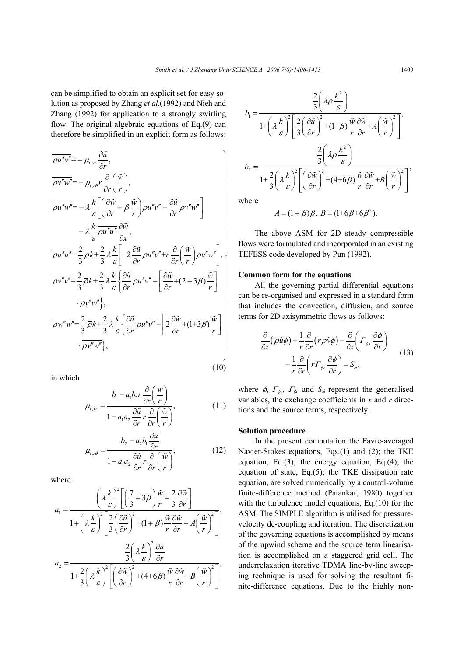can be simplified to obtain an explicit set for easy solution as proposed by Zhang *et al*.(1992) and Nieh and Zhang (1992) for application to a strongly swirling flow. The original algebraic equations of Eq.(9) can therefore be simplified in an explicit form as follows:

$$
\overline{\rho u''v''} = -\mu_{t,vr} \frac{\partial \tilde{u}}{\partial r},
$$
\n
$$
\overline{\rho v''w''} = -\mu_{t,ref} r \frac{\partial}{\partial r} \left( \frac{\tilde{w}}{r} \right),
$$
\n
$$
\overline{\rho u''w''} = -\lambda \frac{k}{\varepsilon} \left[ \left( \frac{\partial \tilde{w}}{\partial r} + \beta \frac{\tilde{w}}{r} \right) \overline{\rho u''v''} + \frac{\partial \tilde{u}}{\partial r} \overline{\rho v''w''} \right]
$$
\n
$$
- \lambda \frac{k}{\varepsilon} \overline{\rho u''u''} \frac{\partial \tilde{w}}{\partial x},
$$
\n
$$
\overline{\rho u''u''} = \frac{2}{3} \overline{\rho}k + \frac{2}{3} \lambda \frac{k}{\varepsilon} \left[ -2 \frac{\partial \tilde{u}}{\partial r} \overline{\rho u''v''} + r \frac{\partial}{\partial r} \left( \frac{\tilde{w}}{r} \right) \overline{\rho v''w''} \right],
$$
\n
$$
\overline{\rho v''v''} = \frac{2}{3} \overline{\rho}k + \frac{2}{3} \lambda \frac{k}{\varepsilon} \left\{ \frac{\partial \tilde{u}}{\partial r} \overline{\rho u''v''} + \left[ \frac{\partial \tilde{w}}{\partial r} + (2 + 3\beta) \frac{\tilde{w}}{r} \right] \right\}.
$$
\n
$$
\overline{\rho v''w''},
$$
\n
$$
\overline{\rho w''w''} = \frac{2}{3} \overline{\rho}k + \frac{2}{3} \lambda \frac{k}{\varepsilon} \left\{ \frac{\partial \tilde{u}}{\partial r} \overline{\rho u''v''} - \left[ 2 \frac{\partial \tilde{w}}{\partial r} + (1 + 3\beta) \frac{\tilde{w}}{r} \right] \right\}.
$$
\n
$$
\overline{\rho v''w''},
$$

in which

$$
\mu_{t,xr} = \frac{b_1 - a_1 b_2 r \frac{\partial}{\partial r} \left(\frac{\tilde{w}}{r}\right)}{1 - a_1 a_2 \frac{\partial \tilde{u}}{\partial r} r \frac{\partial}{\partial r} \left(\frac{\tilde{w}}{r}\right)},
$$
(11)

$$
\mu_{t,r\theta} = \frac{b_2 - a_2 b_1 \frac{\partial \tilde{u}}{\partial r}}{1 - a_1 a_2 \frac{\partial \tilde{u}}{\partial r} r \frac{\partial}{\partial r} \left(\frac{\tilde{w}}{r}\right)},\tag{12}
$$

where

$$
a_1 = \frac{\left(\lambda \frac{k}{\varepsilon}\right)^2 \left[\left(\frac{7}{3} + 3\beta\right) \frac{\tilde{w}}{r} + \frac{2}{3} \frac{\partial \tilde{w}}{\partial r}\right]}{1 + \left(\lambda \frac{k}{\varepsilon}\right)^2 \left[\frac{2}{3} \left(\frac{\partial \tilde{u}}{\partial r}\right)^2 + (1 + \beta) \frac{\tilde{w}}{r} \frac{\partial \tilde{w}}{\partial r} + A \left(\frac{\tilde{w}}{r}\right)^2\right]},
$$

$$
a_2 = \frac{\frac{2}{3} \left(\lambda \frac{k}{\varepsilon}\right)^2 \frac{\partial \tilde{u}}{\partial r}}{1 + \frac{2}{3} \left(\lambda \frac{k}{\varepsilon}\right)^2 \left[\left(\frac{\partial \tilde{w}}{\partial r}\right)^2 + (4 + 6\beta) \frac{\tilde{w}}{r} \frac{\partial \tilde{w}}{\partial r} + B \left(\frac{\tilde{w}}{r}\right)^2\right]},
$$

$$
b_1 = \frac{\frac{2}{3} \left( \lambda \overline{\rho} \frac{k^2}{\varepsilon} \right)}{1 + \left( \lambda \frac{k}{\varepsilon} \right)^2 \left[ \frac{2}{3} \left( \frac{\partial \tilde{u}}{\partial r} \right)^2 + (1 + \beta) \frac{\tilde{w}}{r} \frac{\partial \tilde{w}}{\partial r} + A \left( \frac{\tilde{w}}{r} \right)^2 \right]},
$$
  

$$
b_2 = \frac{\frac{2}{3} \left( \lambda \overline{\rho} \frac{k^2}{\varepsilon} \right)}{1 + \frac{2}{3} \left( \lambda \frac{k}{\varepsilon} \right)^2 \left[ \left( \frac{\partial \tilde{w}}{\partial r} \right)^2 + (4 + 6 \beta) \frac{\tilde{w}}{r} \frac{\partial \tilde{w}}{\partial r} + B \left( \frac{\tilde{w}}{r} \right)^2 \right]},
$$

where

(10)

$$
A = (1 + \beta)\beta, B = (1 + 6\beta + 6\beta^2).
$$

The above ASM for 2D steady compressible flows were formulated and incorporated in an existing TEFESS code developed by Pun (1992).

#### **Common form for the equations**

All the governing partial differential equations can be re-organised and expressed in a standard form that includes the convection, diffusion, and source terms for 2D axisymmetric flows as follows:

$$
\frac{\partial}{\partial x} (\overline{\rho} \tilde{u} \phi) + \frac{1}{r} \frac{\partial}{\partial r} (r \overline{\rho} \tilde{v} \phi) - \frac{\partial}{\partial x} \left( \Gamma_{\phi x} \frac{\partial \phi}{\partial x} \right) \n- \frac{1}{r} \frac{\partial}{\partial r} \left( r \Gamma_{\phi r} \frac{\partial \phi}{\partial r} \right) = S_{\phi},
$$
\n(13)

where  $\phi$ ,  $\Gamma_{\phi x}$ ,  $\Gamma_{\phi r}$  and  $S_{\phi}$  represent the generalised variables, the exchange coefficients in *x* and *r* directions and the source terms, respectively.

# **Solution procedure**

In the present computation the Favre-averaged Navier-Stokes equations, Eqs.(1) and (2); the TKE equation, Eq. $(3)$ ; the energy equation, Eq. $(4)$ ; the equation of state, Eq.(5); the TKE dissipation rate equation, are solved numerically by a control-volume finite-difference method (Patankar, 1980) together with the turbulence model equations, Eq.(10) for the ASM. The SIMPLE algorithm is utilised for pressurevelocity de-coupling and iteration. The discretization of the governing equations is accomplished by means of the upwind scheme and the source term linearisation is accomplished on a staggered grid cell. The underrelaxation iterative TDMA line-by-line sweeping technique is used for solving the resultant finite-difference equations. Due to the highly non-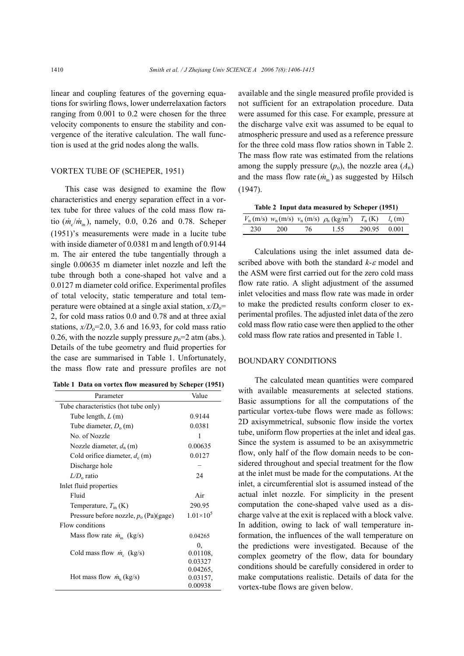linear and coupling features of the governing equations for swirling flows, lower underrelaxation factors ranging from 0.001 to 0.2 were chosen for the three velocity components to ensure the stability and convergence of the iterative calculation. The wall function is used at the grid nodes along the walls.

# VORTEX TUBE OF (SCHEPER, 1951)

This case was designed to examine the flow characteristics and energy separation effect in a vortex tube for three values of the cold mass flow ratio  $(\dot{m}_c / \dot{m}_{in})$ , namely, 0.0, 0.26 and 0.78. Scheper (1951)'s measurements were made in a lucite tube with inside diameter of 0.0381 m and length of 0.9144 m. The air entered the tube tangentially through a single 0.00635 m diameter inlet nozzle and left the tube through both a cone-shaped hot valve and a 0.0127 m diameter cold orifice. Experimental profiles of total velocity, static temperature and total temperature were obtained at a single axial station,  $x/D_0$ = 2, for cold mass ratios 0.0 and 0.78 and at three axial stations,  $x/D_0=2.0$ , 3.6 and 16.93, for cold mass ratio 0.26, with the nozzle supply pressure  $p_0=2$  atm (abs.). Details of the tube geometry and fluid properties for the case are summarised in Table 1. Unfortunately, the mass flow rate and pressure profiles are not

|  | Table 1 Data on vortex flow measured by Scheper (1951) |  |  |  |
|--|--------------------------------------------------------|--|--|--|
|  |                                                        |  |  |  |

| Parameter                                | Value              |  |  |  |  |  |
|------------------------------------------|--------------------|--|--|--|--|--|
| Tube characteristics (hot tube only)     |                    |  |  |  |  |  |
| Tube length, $L(m)$                      | 0.9144             |  |  |  |  |  |
| Tube diameter, $D_0$ (m)                 | 0.0381             |  |  |  |  |  |
| No. of Nozzle                            | 1                  |  |  |  |  |  |
| Nozzle diameter, $d_n(m)$                | 0.00635            |  |  |  |  |  |
| Cold orifice diameter, $d_c$ (m)         | 0.0127             |  |  |  |  |  |
| Discharge hole                           |                    |  |  |  |  |  |
| $L/D_0$ ratio                            | 24                 |  |  |  |  |  |
| Inlet fluid properties                   |                    |  |  |  |  |  |
| Fluid                                    | Air                |  |  |  |  |  |
| Temperature, $T_{\text{in}}$ (K)         | 290.95             |  |  |  |  |  |
| Pressure before nozzle, $p_0$ (Pa)(gage) | $1.01 \times 10^5$ |  |  |  |  |  |
| Flow conditions                          |                    |  |  |  |  |  |
| Mass flow rate $\dot{m}_{in}$ (kg/s)     | 0.04265            |  |  |  |  |  |
|                                          | 0.                 |  |  |  |  |  |
| Cold mass flow $\dot{m}_c$ (kg/s)        | 0.01108,           |  |  |  |  |  |
|                                          | 0.03327            |  |  |  |  |  |
|                                          | 0.04265,           |  |  |  |  |  |
| Hot mass flow $\dot{m}_h$ (kg/s)         | 0.03157,           |  |  |  |  |  |
|                                          | 0.00938            |  |  |  |  |  |

available and the single measured profile provided is not sufficient for an extrapolation procedure. Data were assumed for this case. For example, pressure at the discharge valve exit was assumed to be equal to atmospheric pressure and used as a reference pressure for the three cold mass flow ratios shown in Table 2. The mass flow rate was estimated from the relations among the supply pressure  $(p_0)$ , the nozzle area  $(A_n)$ and the mass flow rate  $(\dot{m}_{in})$  as suggested by Hilsch (1947).

**Table 2 Input data measured by Scheper (1951)** 

|     |     |     | $V_{n}$ (m/s) $w_{n}$ (m/s) $v_{n}$ (m/s) $\rho_{n}$ (kg/m <sup>3</sup> ) $T_{n}$ (K) $l_{s}$ (m) |              |  |
|-----|-----|-----|---------------------------------------------------------------------------------------------------|--------------|--|
| 230 | 200 | 76. | 1.55.                                                                                             | 290.95 0.001 |  |

Calculations using the inlet assumed data described above with both the standard *k*-ε model and the ASM were first carried out for the zero cold mass flow rate ratio. A slight adjustment of the assumed inlet velocities and mass flow rate was made in order to make the predicted results conform closer to experimental profiles. The adjusted inlet data of the zero cold mass flow ratio case were then applied to the other cold mass flow rate ratios and presented in Table 1.

#### BOUNDARY CONDITIONS

The calculated mean quantities were compared with available measurements at selected stations. Basic assumptions for all the computations of the particular vortex-tube flows were made as follows: 2D axisymmetrical, subsonic flow inside the vortex tube, uniform flow properties at the inlet and ideal gas. Since the system is assumed to be an axisymmetric flow, only half of the flow domain needs to be considered throughout and special treatment for the flow at the inlet must be made for the computations. At the inlet, a circumferential slot is assumed instead of the actual inlet nozzle. For simplicity in the present computation the cone-shaped valve used as a discharge valve at the exit is replaced with a block valve. In addition, owing to lack of wall temperature information, the influences of the wall temperature on the predictions were investigated. Because of the complex geometry of the flow, data for boundary conditions should be carefully considered in order to make computations realistic. Details of data for the vortex-tube flows are given below.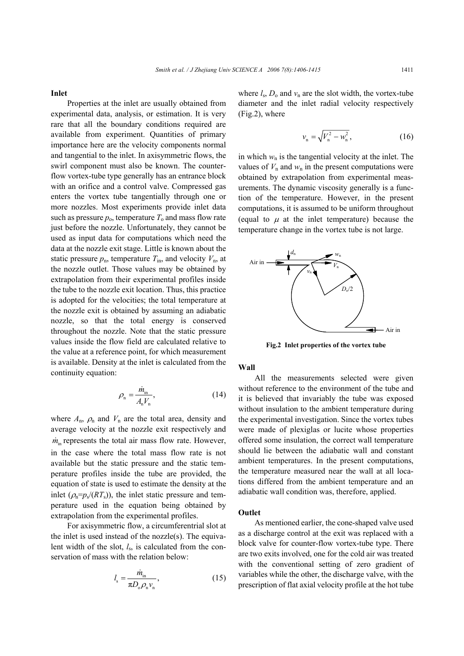#### **Inlet**

Properties at the inlet are usually obtained from experimental data, analysis, or estimation. It is very rare that all the boundary conditions required are available from experiment. Quantities of primary importance here are the velocity components normal and tangential to the inlet. In axisymmetric flows, the swirl component must also be known. The counterflow vortex-tube type generally has an entrance block with an orifice and a control valve. Compressed gas enters the vortex tube tangentially through one or more nozzles. Most experiments provide inlet data such as pressure  $p_0$ , temperature  $T_0$  and mass flow rate just before the nozzle. Unfortunately, they cannot be used as input data for computations which need the data at the nozzle exit stage. Little is known about the static pressure  $p_n$ , temperature  $T_{in}$ , and velocity  $V_n$ , at the nozzle outlet. Those values may be obtained by extrapolation from their experimental profiles inside the tube to the nozzle exit location. Thus, this practice is adopted for the velocities; the total temperature at the nozzle exit is obtained by assuming an adiabatic nozzle, so that the total energy is conserved throughout the nozzle. Note that the static pressure values inside the flow field are calculated relative to the value at a reference point, for which measurement is available. Density at the inlet is calculated from the continuity equation:

$$
\rho_{\rm n} = \frac{\dot{m}_{\rm in}}{A_{\rm n} V_{\rm n}},\tag{14}
$$

where  $A_n$ ,  $\rho_n$  and  $V_n$  are the total area, density and average velocity at the nozzle exit respectively and  $\dot{m}_{in}$  represents the total air mass flow rate. However, in the case where the total mass flow rate is not available but the static pressure and the static temperature profiles inside the tube are provided, the equation of state is used to estimate the density at the inlet  $(\rho_n = p_s/(RT_s))$ , the inlet static pressure and temperature used in the equation being obtained by extrapolation from the experimental profiles.

For axisymmetric flow, a circumferentrial slot at the inlet is used instead of the nozzle(s). The equivalent width of the slot, *l*s, is calculated from the conservation of mass with the relation below:

$$
l_{\rm s} = \frac{\dot{m}_{\rm in}}{\pi D_{\rm o} \rho_{\rm n} v_{\rm n}},\tag{15}
$$

where  $l_s$ ,  $D_0$  and  $v_n$  are the slot width, the vortex-tube diameter and the inlet radial velocity respectively (Fig.2), where

$$
v_{n} = \sqrt{V_{n}^{2} - w_{n}^{2}}, \qquad (16)
$$

in which  $w_n$  is the tangential velocity at the inlet. The values of  $V_n$  and  $w_n$  in the present computations were obtained by extrapolation from experimental measurements. The dynamic viscosity generally is a function of the temperature. However, in the present computations, it is assumed to be uniform throughout (equal to  $\mu$  at the inlet temperature) because the temperature change in the vortex tube is not large.



**Fig.2 Inlet properties of the vortex tube**

# **Wall**

All the measurements selected were given without reference to the environment of the tube and it is believed that invariably the tube was exposed without insulation to the ambient temperature during the experimental investigation. Since the vortex tubes were made of plexiglas or lucite whose properties offered some insulation, the correct wall temperature should lie between the adiabatic wall and constant ambient temperatures. In the present computations, the temperature measured near the wall at all locations differed from the ambient temperature and an adiabatic wall condition was, therefore, applied.

## **Outlet**

As mentioned earlier, the cone-shaped valve used as a discharge control at the exit was replaced with a block valve for counter-flow vortex-tube type. There are two exits involved, one for the cold air was treated with the conventional setting of zero gradient of variables while the other, the discharge valve, with the prescription of flat axial velocity profile at the hot tube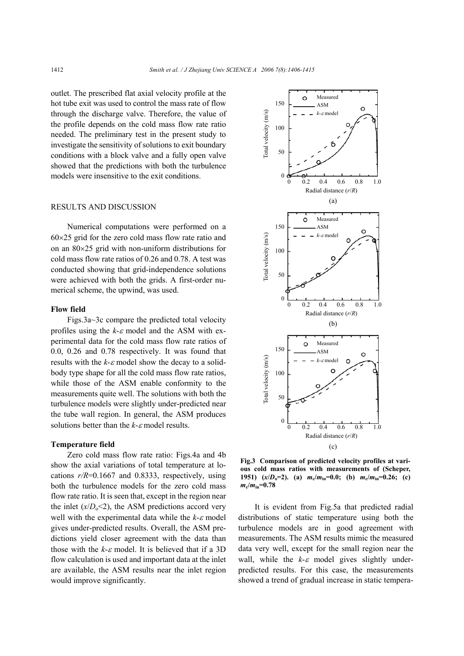outlet. The prescribed flat axial velocity profile at the hot tube exit was used to control the mass rate of flow through the discharge valve. Therefore, the value of the profile depends on the cold mass flow rate ratio needed. The preliminary test in the present study to investigate the sensitivity of solutions to exit boundary conditions with a block valve and a fully open valve showed that the predictions with both the turbulence models were insensitive to the exit conditions.

# RESULTS AND DISCUSSION

Numerical computations were performed on a  $60\times25$  grid for the zero cold mass flow rate ratio and on an  $80\times25$  grid with non-uniform distributions for cold mass flow rate ratios of 0.26 and 0.78. A test was conducted showing that grid-independence solutions were achieved with both the grids. A first-order numerical scheme, the upwind, was used.

# **Flow field**

Figs.3a~3c compare the predicted total velocity profiles using the *k*-<sup>ε</sup> model and the ASM with experimental data for the cold mass flow rate ratios of 0.0, 0.26 and 0.78 respectively. It was found that results with the  $k$ - $\varepsilon$  model show the decay to a solidbody type shape for all the cold mass flow rate ratios, while those of the ASM enable conformity to the measurements quite well. The solutions with both the turbulence models were slightly under-predicted near the tube wall region. In general, the ASM produces solutions better than the *k*-<sup>ε</sup> model results.

# **Temperature field**

Zero cold mass flow rate ratio: Figs.4a and 4b show the axial variations of total temperature at locations  $r/R = 0.1667$  and 0.8333, respectively, using both the turbulence models for the zero cold mass flow rate ratio. It is seen that, except in the region near the inlet  $(x/D_0 < 2)$ , the ASM predictions accord very well with the experimental data while the *k*-ε model gives under-predicted results. Overall, the ASM predictions yield closer agreement with the data than those with the  $k$ - $\varepsilon$  model. It is believed that if a 3D flow calculation is used and important data at the inlet are available, the ASM results near the inlet region would improve significantly.



**Fig.3 Comparison of predicted velocity profiles at various cold mass ratios with measurements of (Scheper, 1951)** ( $x/D_0=2$ ). (a)  $m_c/m_{in}=0.0$ ; (b)  $m_c/m_{in}=0.26$ ; (c)  $m_{\rm c}/m_{\rm in}=0.78$ 

It is evident from Fig.5a that predicted radial distributions of static temperature using both the turbulence models are in good agreement with measurements. The ASM results mimic the measured data very well, except for the small region near the wall, while the  $k-\varepsilon$  model gives slightly underpredicted results. For this case, the measurements showed a trend of gradual increase in static tempera-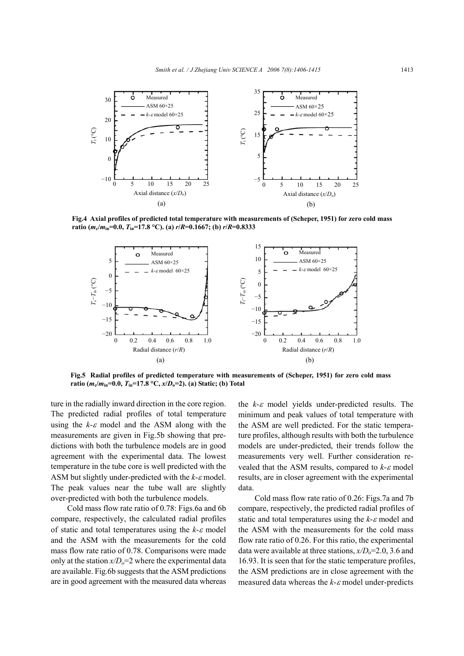

**Fig.4 Axial profiles of predicted total temperature with measurements of (Scheper, 1951) for zero cold mass ratio** ( $m_c/m_{in} = 0.0$ ,  $T_{in} = 17.8$  °C). (a)  $r/R = 0.1667$ ; (b)  $r/R = 0.8333$ 



**Fig.5 Radial profiles of predicted temperature with measurements of (Scheper, 1951) for zero cold mass ratio (***m***c/***m***in=0.0,** *T***in=17.8 °C,** *x***/***D***o=2). (a) Static; (b) Total**

ture in the radially inward direction in the core region. The predicted radial profiles of total temperature using the  $k$ - $\varepsilon$  model and the ASM along with the measurements are given in Fig.5b showing that predictions with both the turbulence models are in good agreement with the experimental data. The lowest temperature in the tube core is well predicted with the ASM but slightly under-predicted with the *k*-ε model. The peak values near the tube wall are slightly over-predicted with both the turbulence models.

Cold mass flow rate ratio of 0.78: Figs.6a and 6b compare, respectively, the calculated radial profiles of static and total temperatures using the *k*-ε model and the ASM with the measurements for the cold mass flow rate ratio of 0.78. Comparisons were made only at the station  $x/D_0=2$  where the experimental data are available. Fig.6b suggests that the ASM predictions are in good agreement with the measured data whereas

the *k*-ε model yields under-predicted results. The minimum and peak values of total temperature with the ASM are well predicted. For the static temperature profiles, although results with both the turbulence models are under-predicted, their trends follow the measurements very well. Further consideration revealed that the ASM results, compared to *k*-<sup>ε</sup> model results, are in closer agreement with the experimental data.

Cold mass flow rate ratio of 0.26: Figs.7a and 7b compare, respectively, the predicted radial profiles of static and total temperatures using the *k*-ε model and the ASM with the measurements for the cold mass flow rate ratio of 0.26. For this ratio, the experimental data were available at three stations,  $x/D<sub>o</sub>=2.0$ , 3.6 and 16.93. It is seen that for the static temperature profiles, the ASM predictions are in close agreement with the measured data whereas the *k*-ε model under-predicts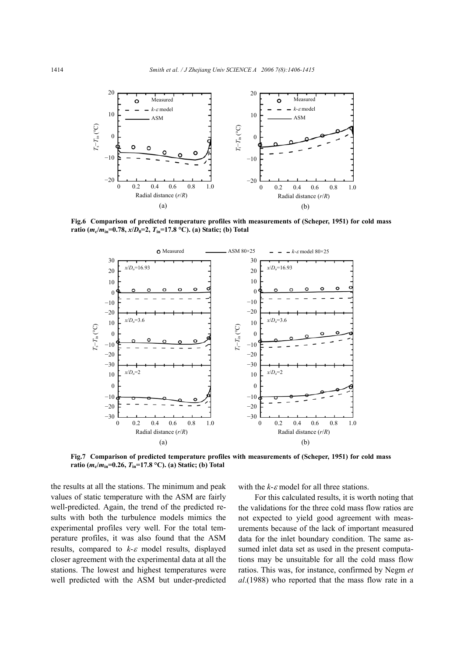

**Fig.6 Comparison of predicted temperature profiles with measurements of (Scheper, 1951) for cold mass** ratio ( $m_c/m_{in} = 0.78$ ,  $x/D_0 = 2$ ,  $T_{in} = 17.8$  °C). (a) Static; (b) Total



**Fig.7 Comparison of predicted temperature profiles with measurements of (Scheper, 1951) for cold mass ratio** ( $m_c/m_{in} = 0.26$ ,  $T_{in} = 17.8$  °C). (a) Static; (b) Total

the results at all the stations. The minimum and peak values of static temperature with the ASM are fairly well-predicted. Again, the trend of the predicted results with both the turbulence models mimics the experimental profiles very well. For the total temperature profiles, it was also found that the ASM results, compared to *k*-<sup>ε</sup> model results, displayed closer agreement with the experimental data at all the stations. The lowest and highest temperatures were well predicted with the ASM but under-predicted with the  $k$ - $\varepsilon$  model for all three stations.

For this calculated results, it is worth noting that the validations for the three cold mass flow ratios are not expected to yield good agreement with measurements because of the lack of important measured data for the inlet boundary condition. The same assumed inlet data set as used in the present computations may be unsuitable for all the cold mass flow ratios. This was, for instance, confirmed by Negm *et al*.(1988) who reported that the mass flow rate in a